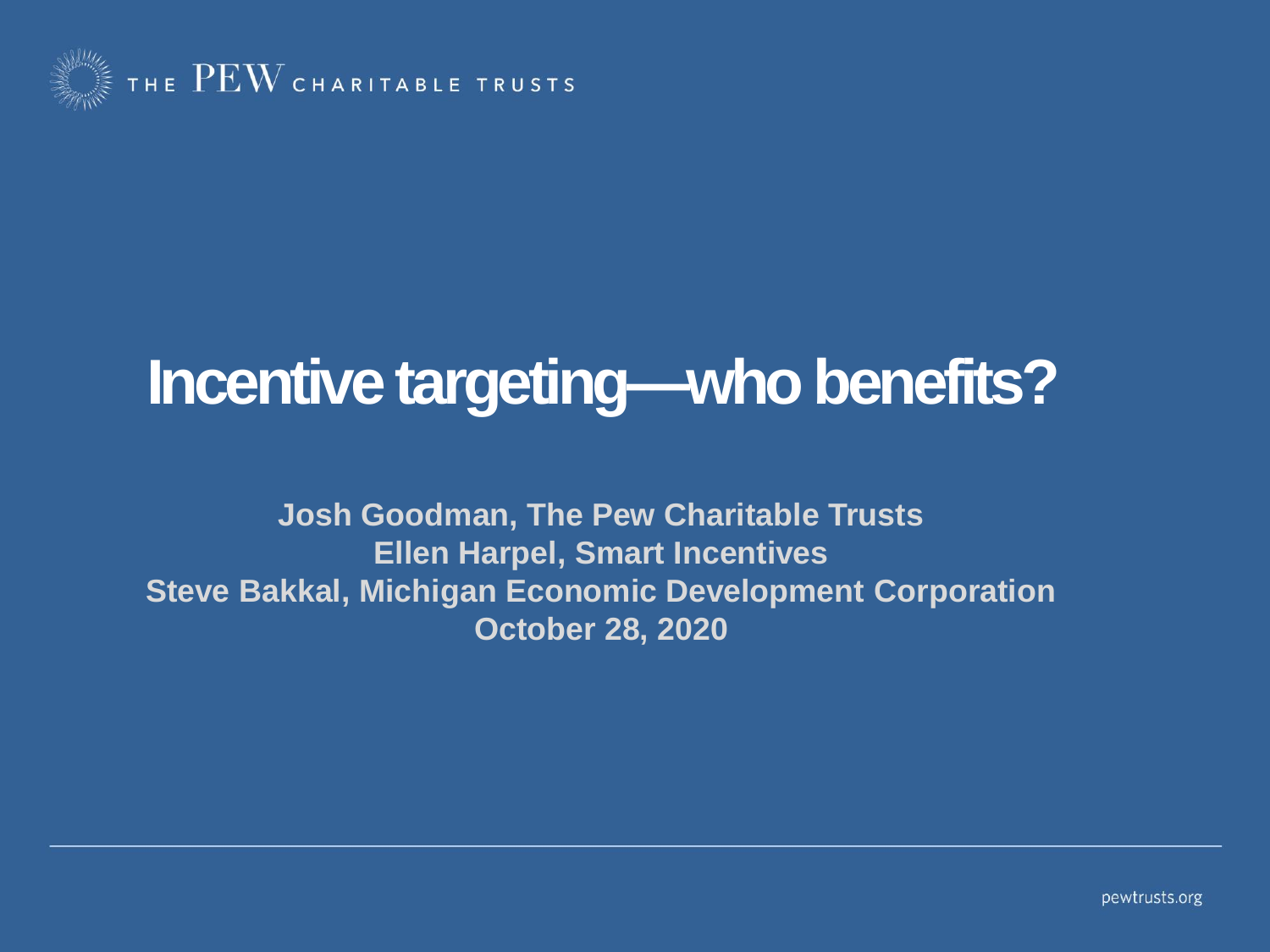

## **Incentive targeting—who benefits?**

**Josh Goodman, The Pew Charitable Trusts Ellen Harpel, Smart Incentives Steve Bakkal, Michigan Economic Development Corporation October 28, 2020**

pewtrusts.org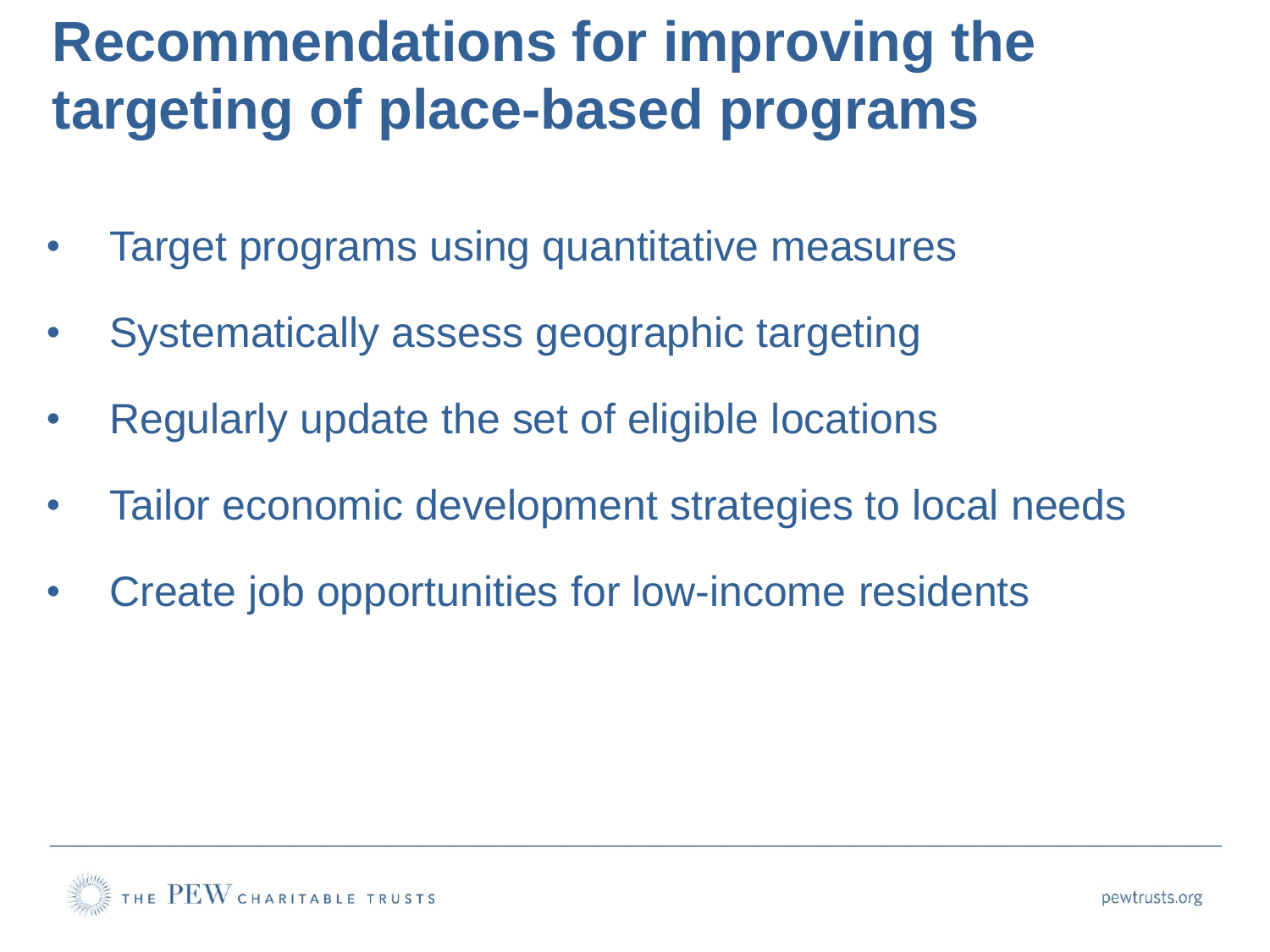## **Recommendations for improving the targeting of place-based programs**

- Target programs using quantitative measures
- Systematically assess geographic targeting
- Regularly update the set of eligible locations
- Tailor economic development strategies to local needs
- Create job opportunities for low-income residents

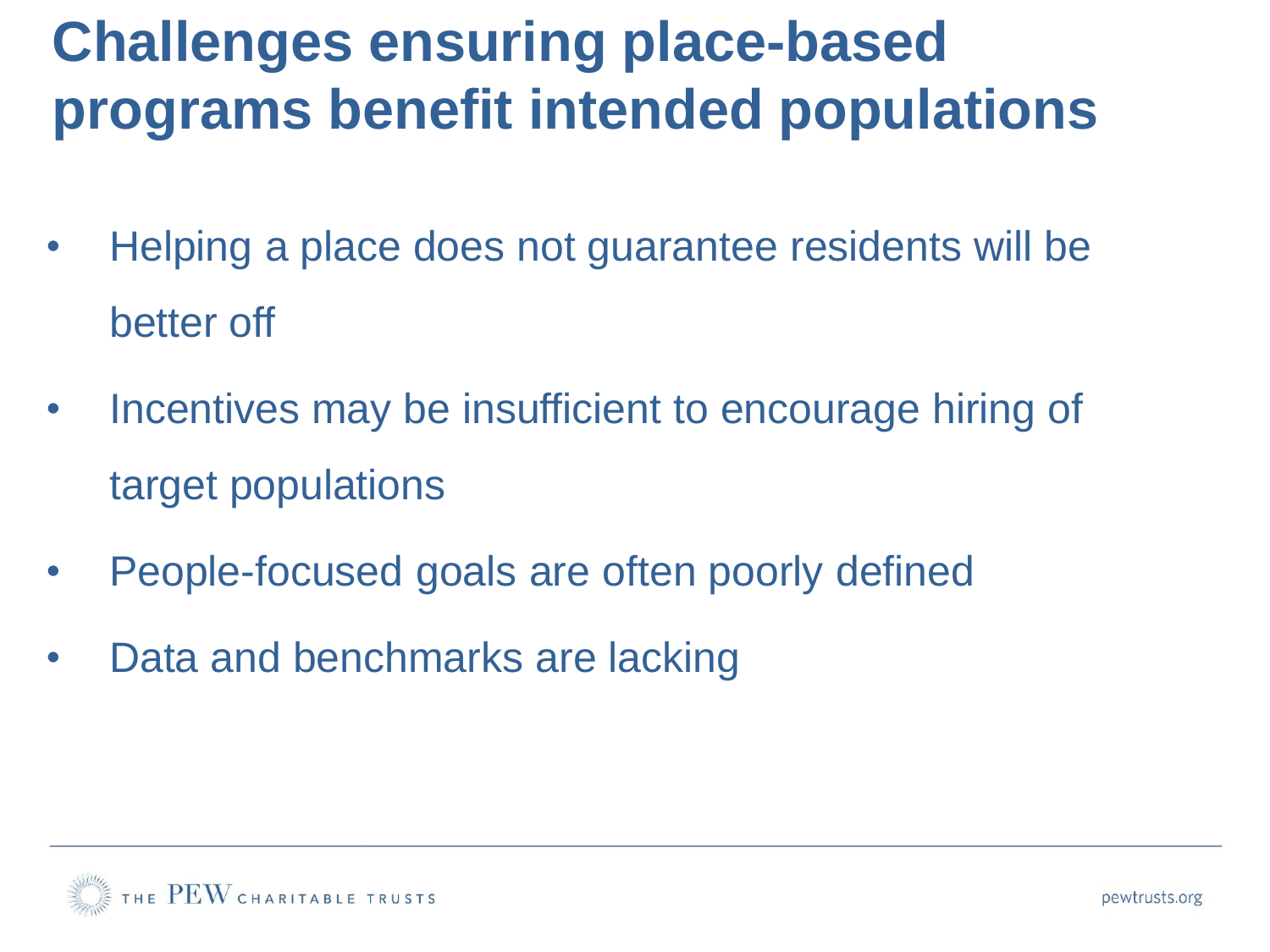## **Challenges ensuring place-based programs benefit intended populations**

- Helping a place does not guarantee residents will be better off
- Incentives may be insufficient to encourage hiring of target populations
- People-focused goals are often poorly defined
- Data and benchmarks are lacking

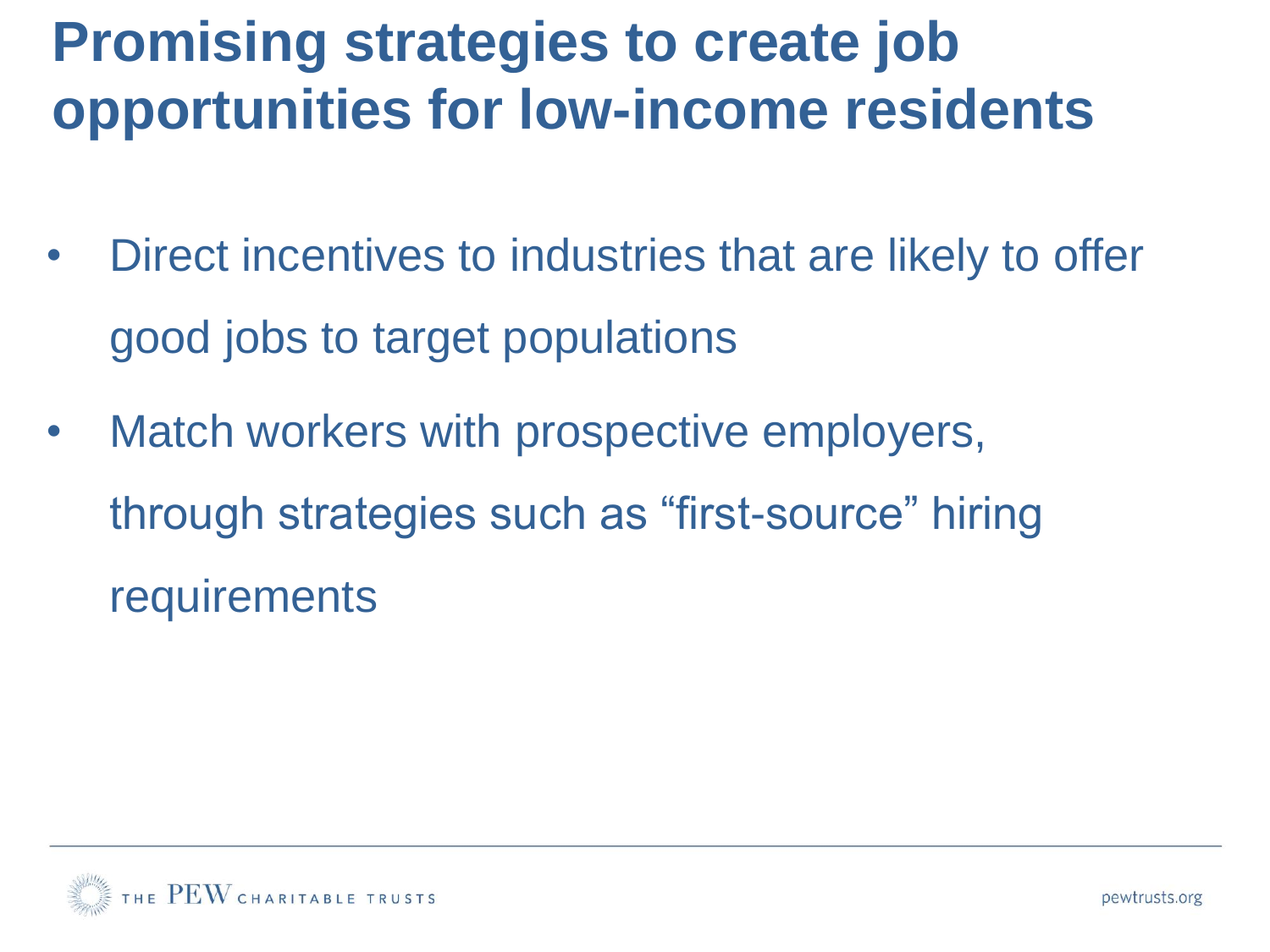## **Promising strategies to create job opportunities for low-income residents**

- Direct incentives to industries that are likely to offer good jobs to target populations
- Match workers with prospective employers, through strategies such as "first-source" hiring **requirements**

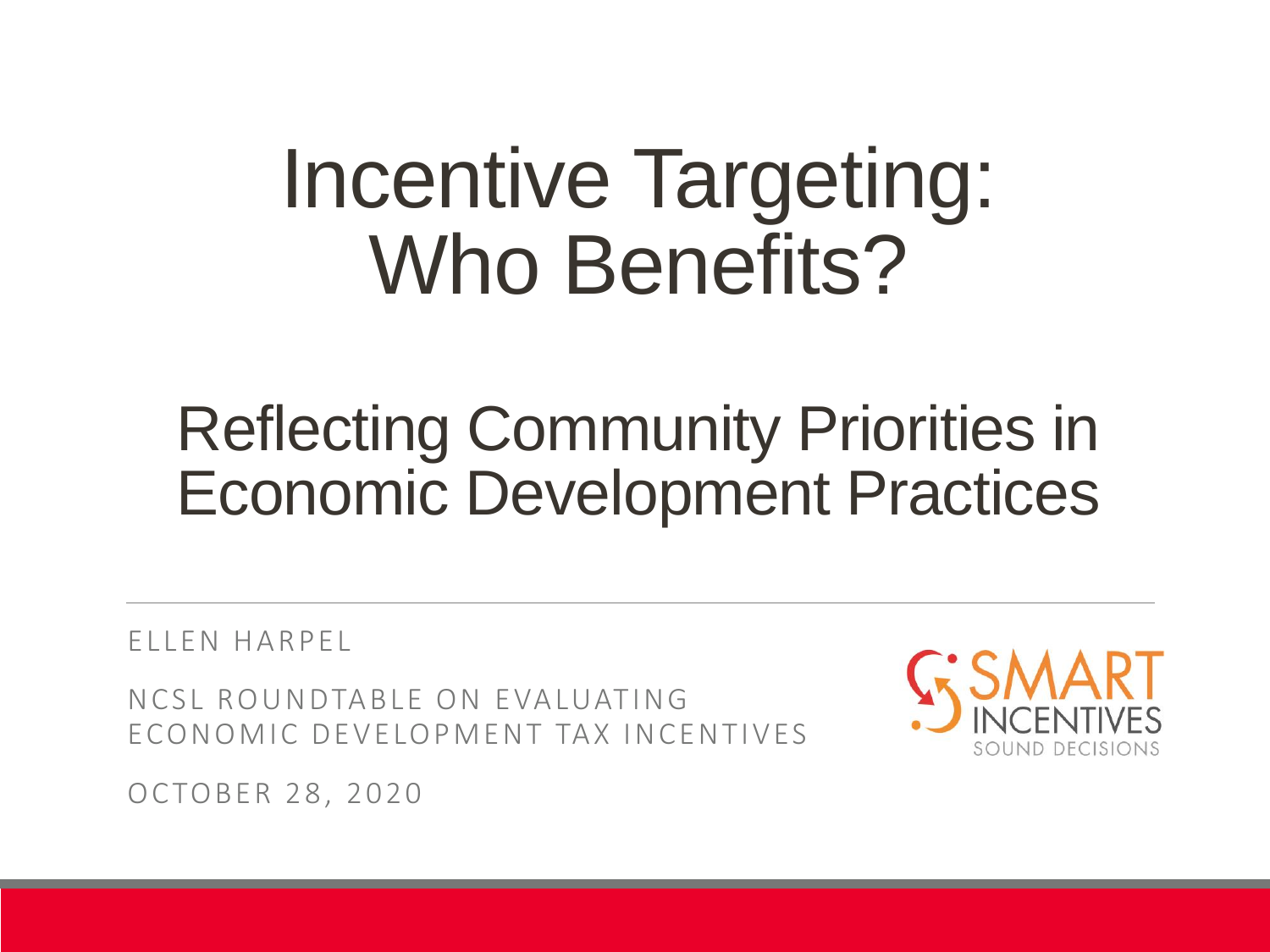# Incentive Targeting: Who Benefits?

## Reflecting Community Priorities in Economic Development Practices

EL L EN HA R PEL

NCSL ROUNDTABLE ON EVALUATING ECONOMIC DEVELOPMENT TAX INCENTIVES



OC TOBER 28, 2020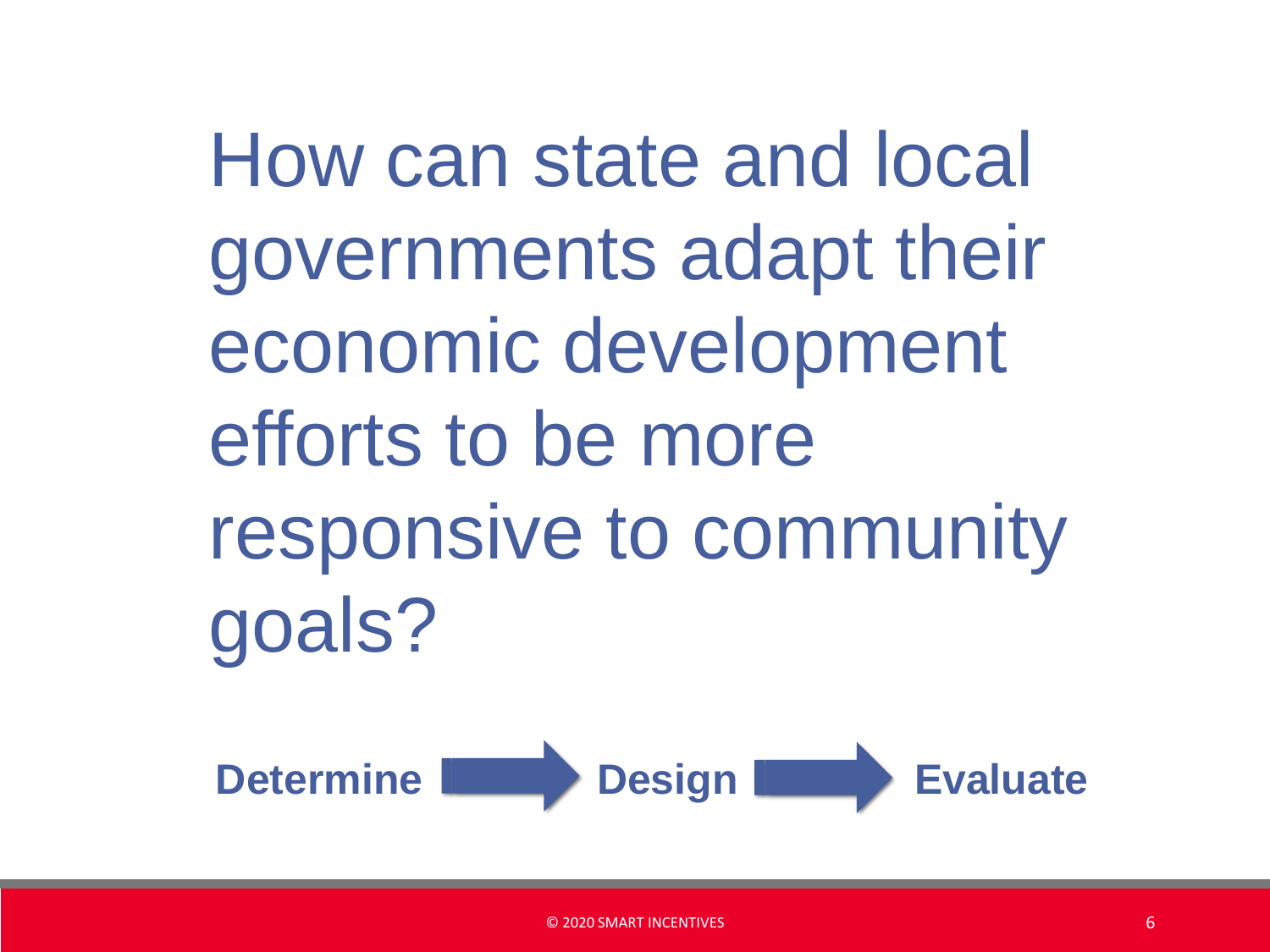How can state and local governments adapt their economic development efforts to be more responsive to community goals?

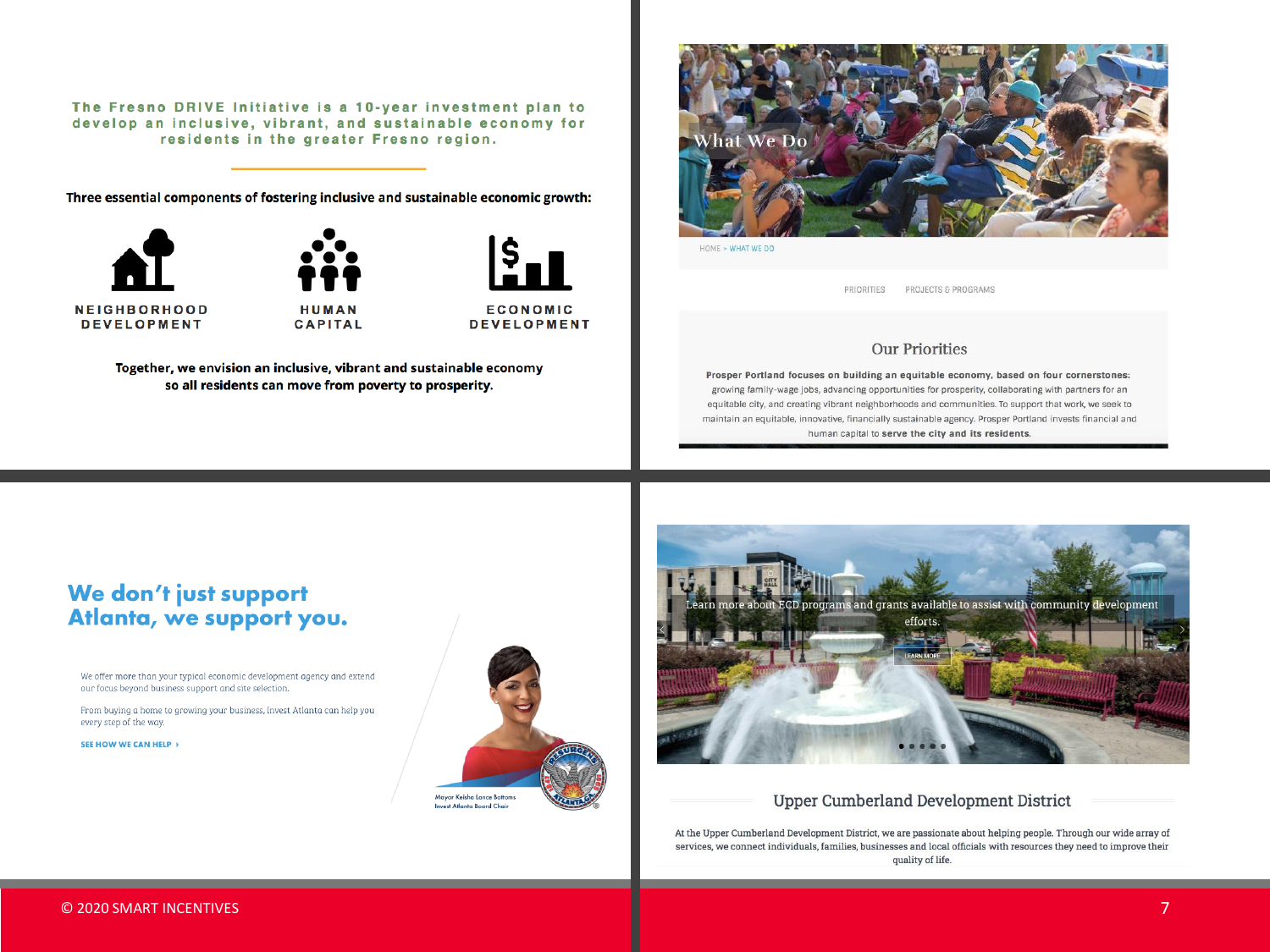The Fresno DRIVE Initiative is a 10-year investment plan to develop an inclusive, vibrant, and sustainable economy for residents in the greater Fresno region.

Three essential components of fostering inclusive and sustainable economic growth:







**DEVELOPMENT** 

Together, we envision an inclusive, vibrant and sustainable economy so all residents can move from poverty to prosperity.



HOME > WHAT WE DO

PRIORITIES PROJECTS & PROGRAMS

#### **Our Priorities**

Prosper Portland focuses on building an equitable economy, based on four cornerstones: growing family-wage jobs, advancing opportunities for prosperity, collaborating with partners for an equitable city, and creating vibrant neighborhoods and communities. To support that work, we seek to maintain an equitable, innovative, financially sustainable agency. Prosper Portland invests financial and human capital to serve the city and its residents.

#### We don't just support Atlanta, we support you.

We offer more than your typical economic development agency and extend our focus beyond business support and site selection.

From buying a home to growing your business, Invest Atlanta can help you every step of the way.

SEE HOW WE CAN HELP >





#### **Upper Cumberland Development District**

At the Upper Cumberland Development District, we are passionate about helping people. Through our wide array of services, we connect individuals, families, businesses and local officials with resources they need to improve their quality of life.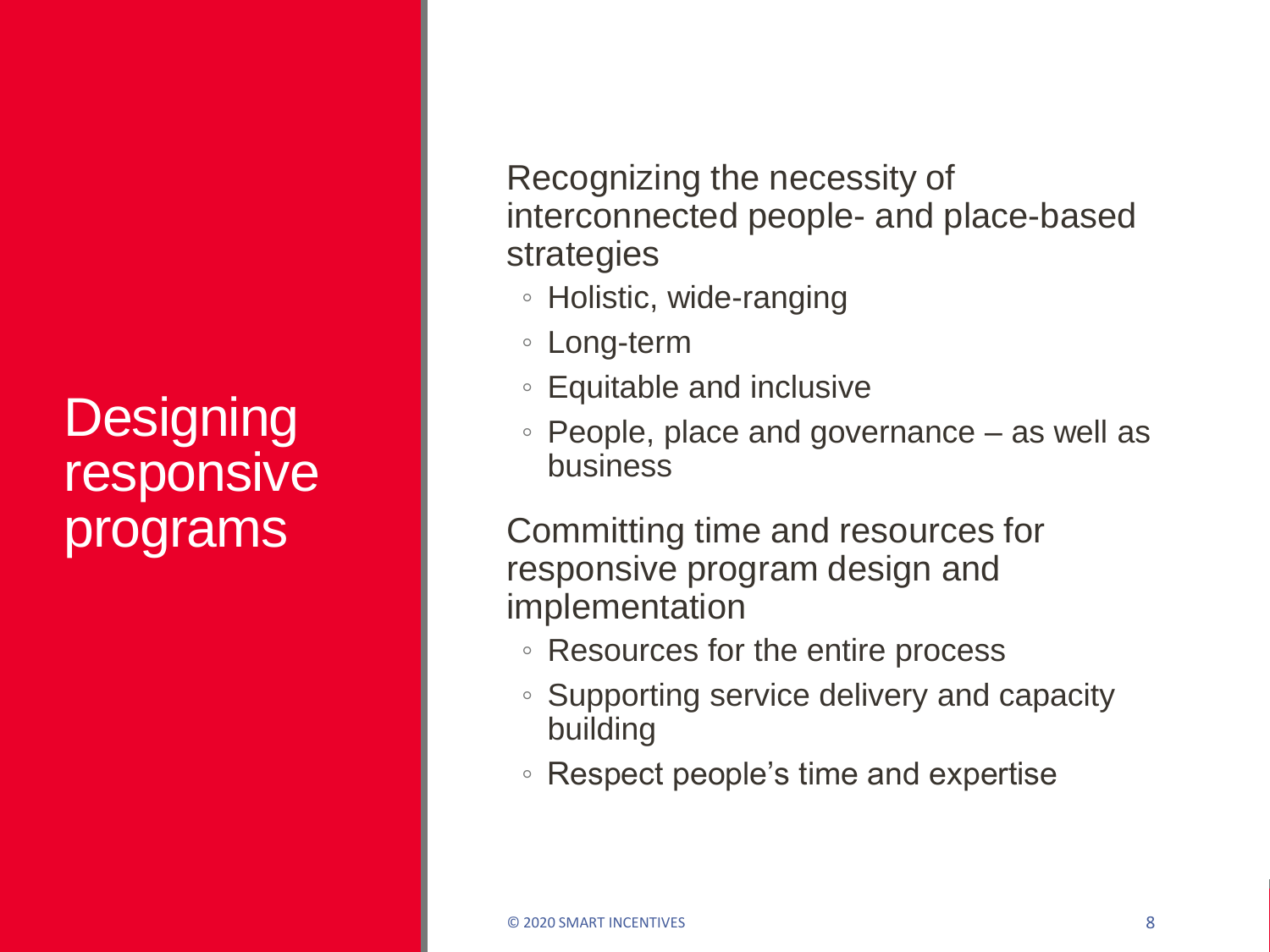### **Designing** responsive programs

Recognizing the necessity of interconnected people- and place-based strategies

- Holistic, wide-ranging
- Long-term
- Equitable and inclusive
- People, place and governance as well as business

Committing time and resources for responsive program design and implementation

- Resources for the entire process
- Supporting service delivery and capacity building
- Respect people's time and expertise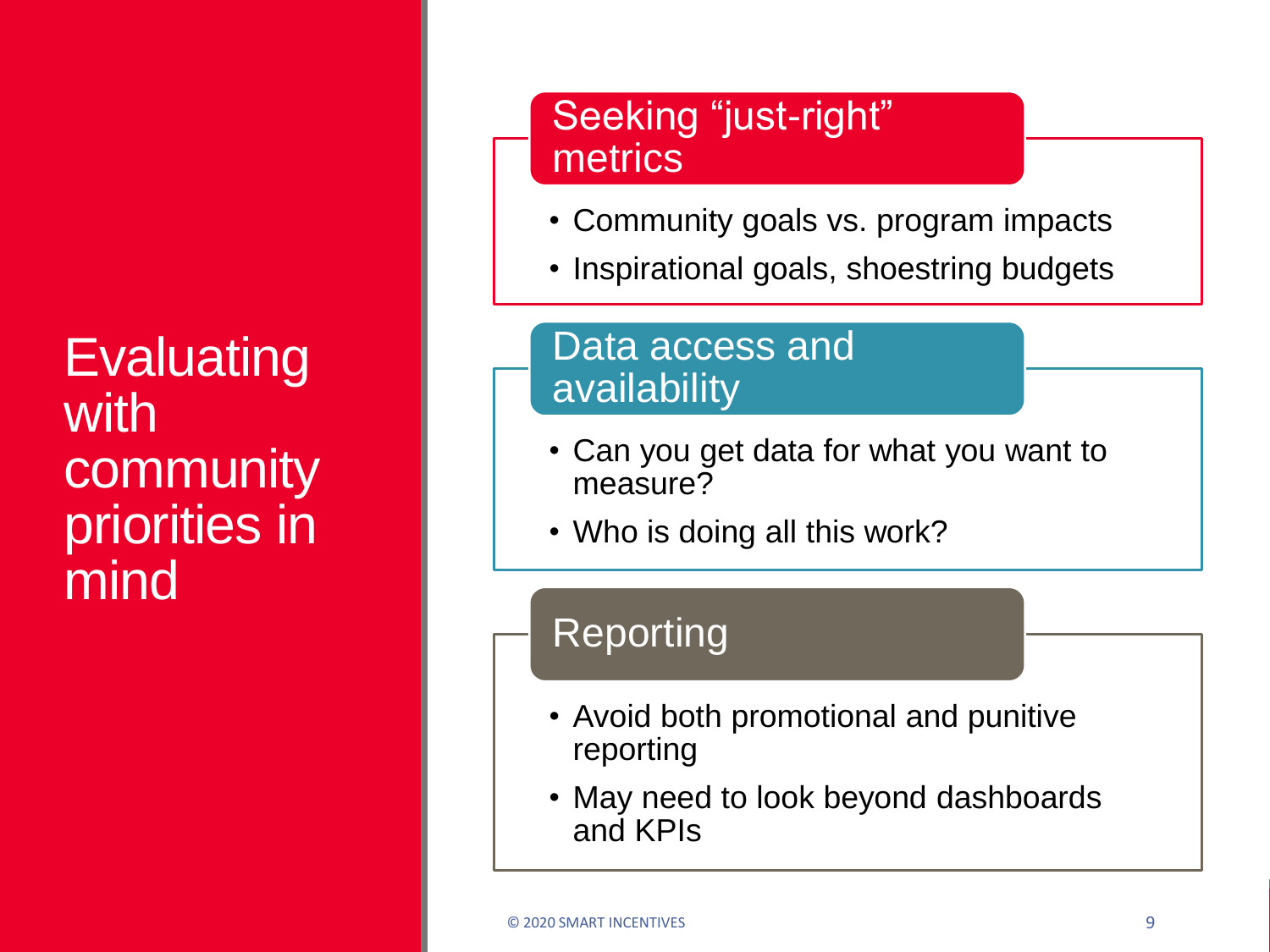**Evaluating** with community priorities in mind

### Seeking "just-right" metrics

- Community goals vs. program impacts
- Inspirational goals, shoestring budgets

### Data access and availability

- Can you get data for what you want to measure?
- Who is doing all this work?

### Reporting

- Avoid both promotional and punitive reporting
- May need to look beyond dashboards and KPIs